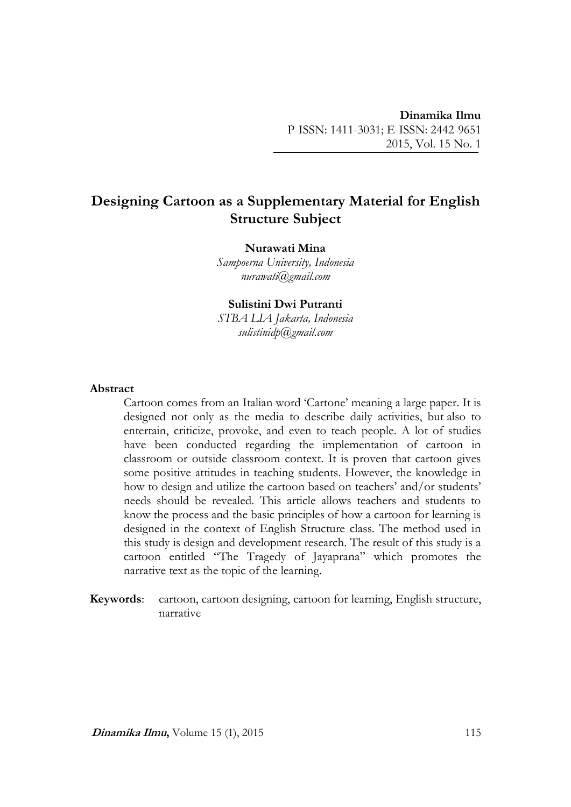# **Designing Cartoon as a Supplementary Material for English Structure Subject**

## **Nurawati Mina**

*Sampoerna University, Indonesia nurawati@gmail.com*

**Sulistini Dwi Putranti** *STBA LIA Jakarta, Indonesia sulistinidp@gmail.com*

## **Abstract**

Cartoon comes from an Italian word 'Cartone' meaning a large paper. It is designed not only as the media to describe daily activities, but also to entertain, criticize, provoke, and even to teach people. A lot of studies have been conducted regarding the implementation of cartoon in classroom or outside classroom context. It is proven that cartoon gives some positive attitudes in teaching students. However, the knowledge in how to design and utilize the cartoon based on teachers' and/or students' needs should be revealed. This article allows teachers and students to know the process and the basic principles of how a cartoon for learning is designed in the context of English Structure class. The method used in this study is design and development research. The result of this study is a cartoon entitled "The Tragedy of Jayaprana" which promotes the narrative text as the topic of the learning.

**Keywords**: cartoon, cartoon designing, cartoon for learning, English structure, narrative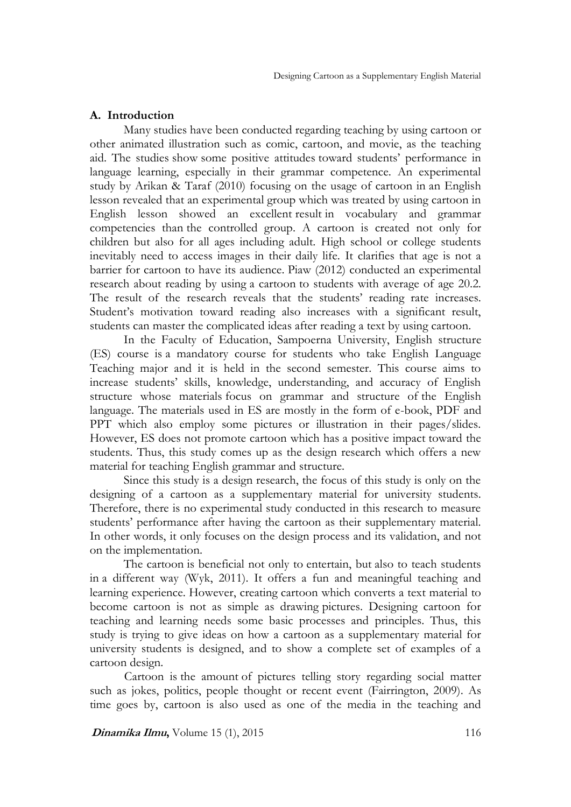## **A. Introduction**

Many studies have been conducted regarding teaching by using cartoon or other animated illustration such as comic, cartoon, and movie, as the teaching aid. The studies show some positive attitudes toward students' performance in language learning, especially in their grammar competence. An experimental study by Arikan & Taraf (2010) focusing on the usage of cartoon in an English lesson revealed that an experimental group which was treated by using cartoon in English lesson showed an excellent result in vocabulary and grammar competencies than the controlled group. A cartoon is created not only for children but also for all ages including adult. High school or college students inevitably need to access images in their daily life. It clarifies that age is not a barrier for cartoon to have its audience. Piaw (2012) conducted an experimental research about reading by using a cartoon to students with average of age 20.2. The result of the research reveals that the students' reading rate increases. Student's motivation toward reading also increases with a significant result, students can master the complicated ideas after reading a text by using cartoon.

In the Faculty of Education, Sampoerna University, English structure (ES) course is a mandatory course for students who take English Language Teaching major and it is held in the second semester. This course aims to increase students' skills, knowledge, understanding, and accuracy of English structure whose materials focus on grammar and structure of the English language. The materials used in ES are mostly in the form of e-book, PDF and PPT which also employ some pictures or illustration in their pages/slides. However, ES does not promote cartoon which has a positive impact toward the students. Thus, this study comes up as the design research which offers a new material for teaching English grammar and structure.

Since this study is a design research, the focus of this study is only on the designing of a cartoon as a supplementary material for university students. Therefore, there is no experimental study conducted in this research to measure students' performance after having the cartoon as their supplementary material. In other words, it only focuses on the design process and its validation, and not on the implementation.

The cartoon is beneficial not only to entertain, but also to teach students in a different way (Wyk, 2011). It offers a fun and meaningful teaching and learning experience. However, creating cartoon which converts a text material to become cartoon is not as simple as drawing pictures. Designing cartoon for teaching and learning needs some basic processes and principles. Thus, this study is trying to give ideas on how a cartoon as a supplementary material for university students is designed, and to show a complete set of examples of a cartoon design.

Cartoon is the amount of pictures telling story regarding social matter such as jokes, politics, people thought or recent event (Fairrington, 2009). As time goes by, cartoon is also used as one of the media in the teaching and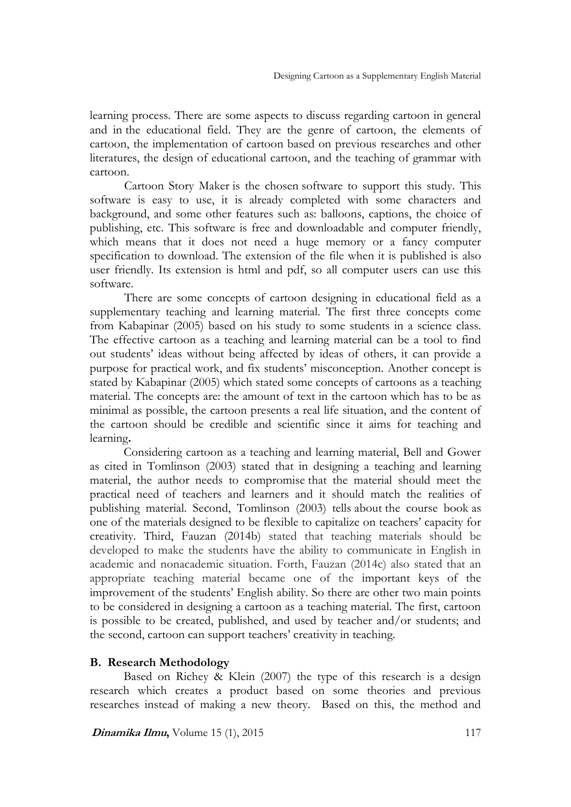learning process. There are some aspects to discuss regarding cartoon in general and in the educational field. They are the genre of cartoon, the elements of cartoon, the implementation of cartoon based on previous researches and other literatures, the design of educational cartoon, and the teaching of grammar with cartoon.

Cartoon Story Maker is the chosen software to support this study. This software is easy to use, it is already completed with some characters and background, and some other features such as: balloons, captions, the choice of publishing, etc. This software is free and downloadable and computer friendly, which means that it does not need a huge memory or a fancy computer specification to download. The extension of the file when it is published is also user friendly. Its extension is html and pdf, so all computer users can use this software.

There are some concepts of cartoon designing in educational field as a supplementary teaching and learning material. The first three concepts come from Kabapinar (2005) based on his study to some students in a science class. The effective cartoon as a teaching and learning material can be a tool to find out students' ideas without being affected by ideas of others, it can provide a purpose for practical work, and fix students' misconception. Another concept is stated by Kabapinar (2005) which stated some concepts of cartoons as a teaching material. The concepts are: the amount of text in the cartoon which has to be as minimal as possible, the cartoon presents a real life situation, and the content of the cartoon should be credible and scientific since it aims for teaching and learning**.** 

Considering cartoon as a teaching and learning material, Bell and Gower as cited in Tomlinson (2003) stated that in designing a teaching and learning material, the author needs to compromise that the material should meet the practical need of teachers and learners and it should match the realities of publishing material. Second, Tomlinson (2003) tells about the course book as one of the materials designed to be flexible to capitalize on teachers' capacity for creativity. Third, Fauzan (2014b) stated that teaching materials should be developed to make the students have the ability to communicate in English in academic and nonacademic situation. Forth, Fauzan (2014c) also stated that an appropriate teaching material became one of the important keys of the improvement of the students' English ability. So there are other two main points to be considered in designing a cartoon as a teaching material. The first, cartoon is possible to be created, published, and used by teacher and/or students; and the second, cartoon can support teachers' creativity in teaching.

## **B. Research Methodology**

Based on Richey & Klein (2007) the type of this research is a design research which creates a product based on some theories and previous researches instead of making a new theory. Based on this, the method and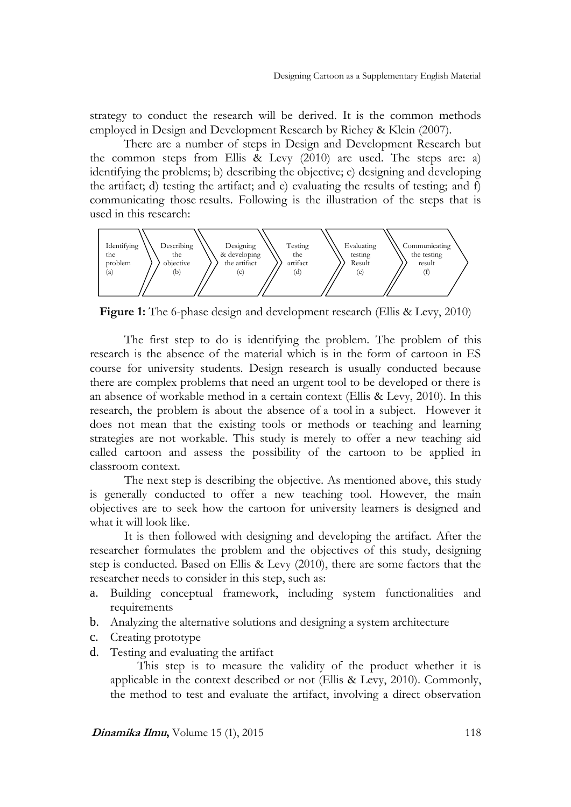strategy to conduct the research will be derived. It is the common methods employed in Design and Development Research by Richey & Klein (2007).

There are a number of steps in Design and Development Research but the common steps from Ellis & Levy (2010) are used. The steps are: a) identifying the problems; b) describing the objective; c) designing and developing the artifact; d) testing the artifact; and e) evaluating the results of testing; and f) communicating those results. Following is the illustration of the steps that is used in this research:



**Figure 1:** The 6-phase design and development research (Ellis & Levy, 2010)

The first step to do is identifying the problem. The problem of this research is the absence of the material which is in the form of cartoon in ES course for university students. Design research is usually conducted because there are complex problems that need an urgent tool to be developed or there is an absence of workable method in a certain context (Ellis & Levy, 2010). In this research, the problem is about the absence of a tool in a subject. However it does not mean that the existing tools or methods or teaching and learning strategies are not workable. This study is merely to offer a new teaching aid called cartoon and assess the possibility of the cartoon to be applied in classroom context.

The next step is describing the objective*.* As mentioned above, this study is generally conducted to offer a new teaching tool. However, the main objectives are to seek how the cartoon for university learners is designed and what it will look like.

It is then followed with designing and developing the artifact. After the researcher formulates the problem and the objectives of this study, designing step is conducted. Based on Ellis & Levy (2010), there are some factors that the researcher needs to consider in this step, such as:

- a. Building conceptual framework, including system functionalities and requirements
- b. Analyzing the alternative solutions and designing a system architecture
- c. Creating prototype
- d. Testing and evaluating the artifact

This step is to measure the validity of the product whether it is applicable in the context described or not (Ellis & Levy, 2010). Commonly, the method to test and evaluate the artifact, involving a direct observation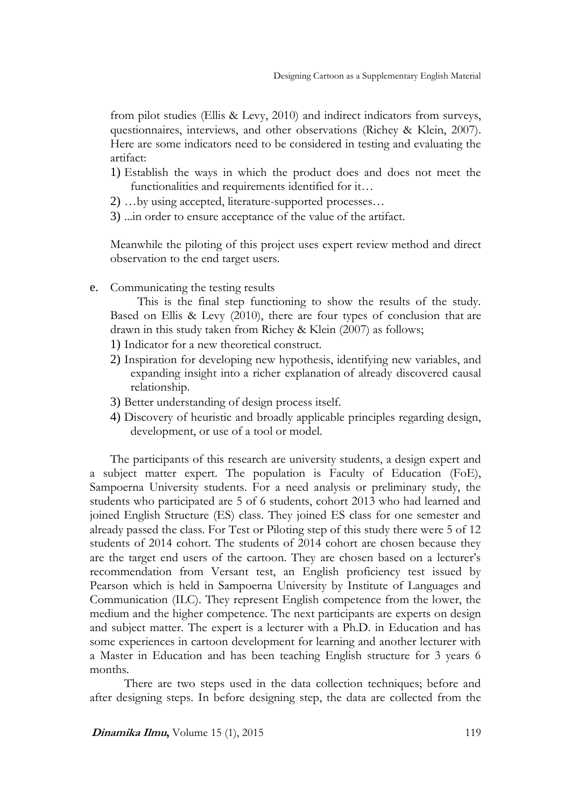from pilot studies (Ellis & Levy, 2010) and indirect indicators from surveys, questionnaires, interviews, and other observations (Richey & Klein, 2007). Here are some indicators need to be considered in testing and evaluating the artifact:

- 1) Establish the ways in which the product does and does not meet the functionalities and requirements identified for it…
- 2) …by using accepted, literature-supported processes…
- 3) ...in order to ensure acceptance of the value of the artifact.

Meanwhile the piloting of this project uses expert review method and direct observation to the end target users.

e. Communicating the testing results

This is the final step functioning to show the results of the study. Based on Ellis & Levy (2010), there are four types of conclusion that are drawn in this study taken from Richey & Klein (2007) as follows;

- 1) Indicator for a new theoretical construct.
- 2) Inspiration for developing new hypothesis, identifying new variables, and expanding insight into a richer explanation of already discovered causal relationship.
- 3) Better understanding of design process itself.
- 4) Discovery of heuristic and broadly applicable principles regarding design, development, or use of a tool or model.

The participants of this research are university students, a design expert and a subject matter expert. The population is Faculty of Education (FoE), Sampoerna University students. For a need analysis or preliminary study, the students who participated are 5 of 6 students, cohort 2013 who had learned and joined English Structure (ES) class. They joined ES class for one semester and already passed the class. For Test or Piloting step of this study there were 5 of 12 students of 2014 cohort. The students of 2014 cohort are chosen because they are the target end users of the cartoon. They are chosen based on a lecturer's recommendation from Versant test, an English proficiency test issued by Pearson which is held in Sampoerna University by Institute of Languages and Communication (ILC). They represent English competence from the lower, the medium and the higher competence. The next participants are experts on design and subject matter. The expert is a lecturer with a Ph.D. in Education and has some experiences in cartoon development for learning and another lecturer with a Master in Education and has been teaching English structure for 3 years 6 months.

There are two steps used in the data collection techniques; before and after designing steps. In before designing step, the data are collected from the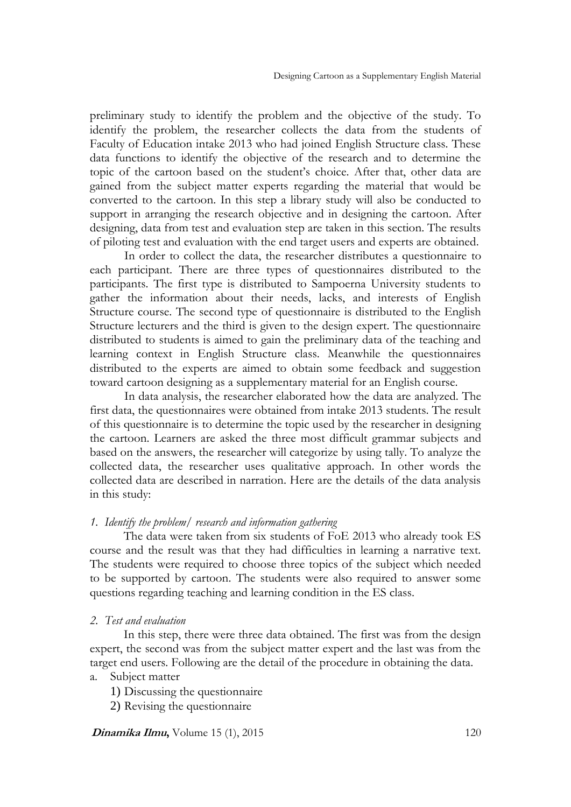preliminary study to identify the problem and the objective of the study. To identify the problem, the researcher collects the data from the students of Faculty of Education intake 2013 who had joined English Structure class. These data functions to identify the objective of the research and to determine the topic of the cartoon based on the student's choice. After that, other data are gained from the subject matter experts regarding the material that would be converted to the cartoon. In this step a library study will also be conducted to support in arranging the research objective and in designing the cartoon. After designing, data from test and evaluation step are taken in this section. The results of piloting test and evaluation with the end target users and experts are obtained.

In order to collect the data, the researcher distributes a questionnaire to each participant. There are three types of questionnaires distributed to the participants. The first type is distributed to Sampoerna University students to gather the information about their needs, lacks, and interests of English Structure course. The second type of questionnaire is distributed to the English Structure lecturers and the third is given to the design expert. The questionnaire distributed to students is aimed to gain the preliminary data of the teaching and learning context in English Structure class. Meanwhile the questionnaires distributed to the experts are aimed to obtain some feedback and suggestion toward cartoon designing as a supplementary material for an English course.

In data analysis, the researcher elaborated how the data are analyzed. The first data, the questionnaires were obtained from intake 2013 students. The result of this questionnaire is to determine the topic used by the researcher in designing the cartoon. Learners are asked the three most difficult grammar subjects and based on the answers, the researcher will categorize by using tally. To analyze the collected data, the researcher uses qualitative approach. In other words the collected data are described in narration. Here are the details of the data analysis in this study:

## *1. Identify the problem/ research and information gathering*

The data were taken from six students of FoE 2013 who already took ES course and the result was that they had difficulties in learning a narrative text. The students were required to choose three topics of the subject which needed to be supported by cartoon. The students were also required to answer some questions regarding teaching and learning condition in the ES class.

## *2. Test and evaluation*

In this step, there were three data obtained. The first was from the design expert, the second was from the subject matter expert and the last was from the target end users. Following are the detail of the procedure in obtaining the data.

- a. Subject matter
	- 1) Discussing the questionnaire
	- 2) Revising the questionnaire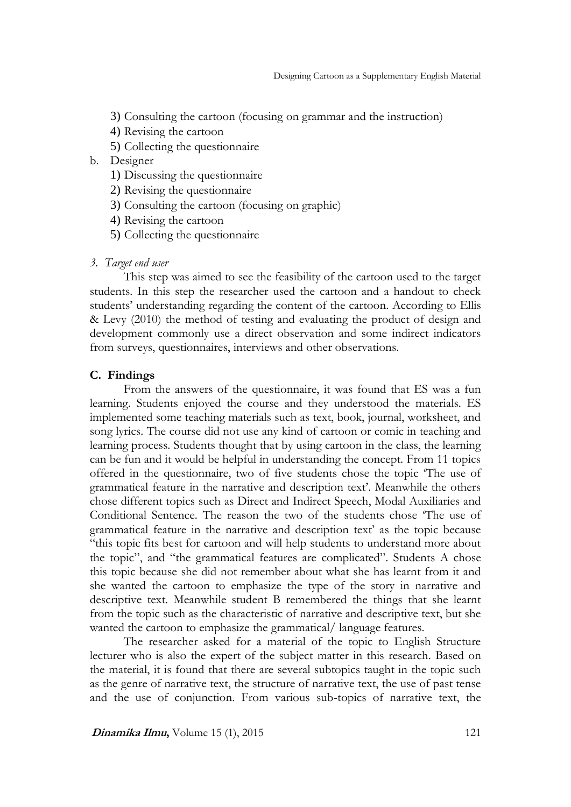- 3) Consulting the cartoon (focusing on grammar and the instruction)
- 4) Revising the cartoon
- 5) Collecting the questionnaire
- b. Designer
	- 1) Discussing the questionnaire
	- 2) Revising the questionnaire
	- 3) Consulting the cartoon (focusing on graphic)
	- 4) Revising the cartoon
	- 5) Collecting the questionnaire

#### *3. Target end user*

This step was aimed to see the feasibility of the cartoon used to the target students. In this step the researcher used the cartoon and a handout to check students' understanding regarding the content of the cartoon. According to Ellis & Levy (2010) the method of testing and evaluating the product of design and development commonly use a direct observation and some indirect indicators from surveys, questionnaires, interviews and other observations.

## **C. Findings**

From the answers of the questionnaire, it was found that ES was a fun learning. Students enjoyed the course and they understood the materials. ES implemented some teaching materials such as text, book, journal, worksheet, and song lyrics. The course did not use any kind of cartoon or comic in teaching and learning process. Students thought that by using cartoon in the class, the learning can be fun and it would be helpful in understanding the concept. From 11 topics offered in the questionnaire, two of five students chose the topic 'The use of grammatical feature in the narrative and description text'. Meanwhile the others chose different topics such as Direct and Indirect Speech, Modal Auxiliaries and Conditional Sentence. The reason the two of the students chose 'The use of grammatical feature in the narrative and description text' as the topic because "this topic fits best for cartoon and will help students to understand more about the topic", and "the grammatical features are complicated". Students A chose this topic because she did not remember about what she has learnt from it and she wanted the cartoon to emphasize the type of the story in narrative and descriptive text. Meanwhile student B remembered the things that she learnt from the topic such as the characteristic of narrative and descriptive text, but she wanted the cartoon to emphasize the grammatical/ language features.

The researcher asked for a material of the topic to English Structure lecturer who is also the expert of the subject matter in this research. Based on the material, it is found that there are several subtopics taught in the topic such as the genre of narrative text, the structure of narrative text, the use of past tense and the use of conjunction. From various sub-topics of narrative text, the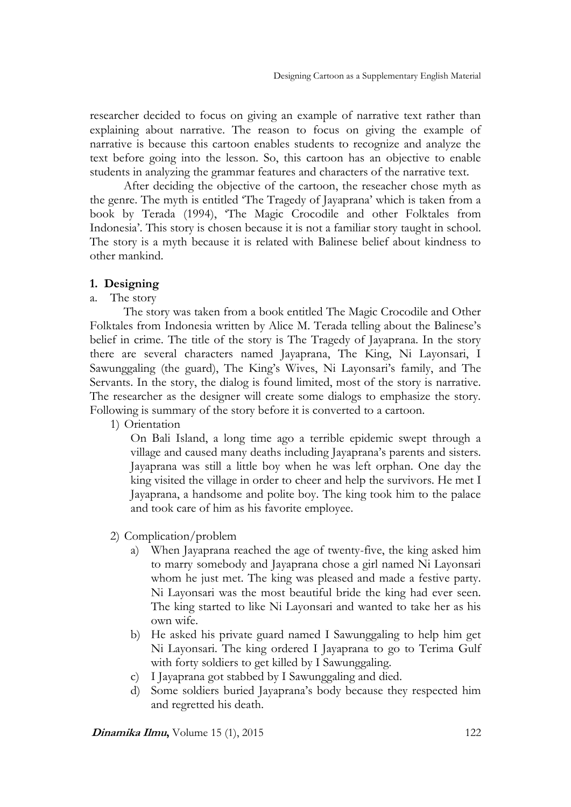researcher decided to focus on giving an example of narrative text rather than explaining about narrative. The reason to focus on giving the example of narrative is because this cartoon enables students to recognize and analyze the text before going into the lesson. So, this cartoon has an objective to enable students in analyzing the grammar features and characters of the narrative text.

After deciding the objective of the cartoon, the reseacher chose myth as the genre. The myth is entitled 'The Tragedy of Jayaprana' which is taken from a book by Terada (1994), 'The Magic Crocodile and other Folktales from Indonesia'. This story is chosen because it is not a familiar story taught in school. The story is a myth because it is related with Balinese belief about kindness to other mankind.

## **1. Designing**

a. The story

The story was taken from a book entitled The Magic Crocodile and Other Folktales from Indonesia written by Alice M. Terada telling about the Balinese's belief in crime. The title of the story is The Tragedy of Jayaprana. In the story there are several characters named Jayaprana, The King, Ni Layonsari, I Sawunggaling (the guard), The King's Wives, Ni Layonsari's family, and The Servants. In the story, the dialog is found limited, most of the story is narrative. The researcher as the designer will create some dialogs to emphasize the story. Following is summary of the story before it is converted to a cartoon.

1) Orientation

On Bali Island, a long time ago a terrible epidemic swept through a village and caused many deaths including Jayaprana's parents and sisters. Jayaprana was still a little boy when he was left orphan. One day the king visited the village in order to cheer and help the survivors. He met I Jayaprana, a handsome and polite boy. The king took him to the palace and took care of him as his favorite employee.

- 2) Complication/problem
	- a) When Jayaprana reached the age of twenty-five, the king asked him to marry somebody and Jayaprana chose a girl named Ni Layonsari whom he just met. The king was pleased and made a festive party. Ni Layonsari was the most beautiful bride the king had ever seen. The king started to like Ni Layonsari and wanted to take her as his own wife.
	- b) He asked his private guard named I Sawunggaling to help him get Ni Layonsari. The king ordered I Jayaprana to go to Terima Gulf with forty soldiers to get killed by I Sawunggaling.
	- c) I Jayaprana got stabbed by I Sawunggaling and died.
	- d) Some soldiers buried Jayaprana's body because they respected him and regretted his death.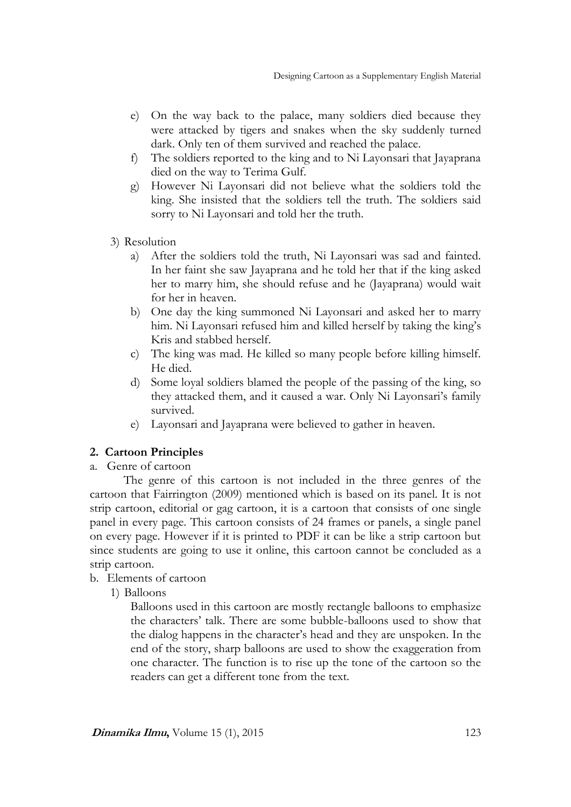- e) On the way back to the palace, many soldiers died because they were attacked by tigers and snakes when the sky suddenly turned dark. Only ten of them survived and reached the palace.
- f) The soldiers reported to the king and to Ni Layonsari that Jayaprana died on the way to Terima Gulf.
- g) However Ni Layonsari did not believe what the soldiers told the king. She insisted that the soldiers tell the truth. The soldiers said sorry to Ni Layonsari and told her the truth.
- 3) Resolution
	- a) After the soldiers told the truth, Ni Layonsari was sad and fainted. In her faint she saw Jayaprana and he told her that if the king asked her to marry him, she should refuse and he (Jayaprana) would wait for her in heaven.
	- b) One day the king summoned Ni Layonsari and asked her to marry him. Ni Layonsari refused him and killed herself by taking the king's Kris and stabbed herself.
	- c) The king was mad. He killed so many people before killing himself. He died.
	- d) Some loyal soldiers blamed the people of the passing of the king, so they attacked them, and it caused a war. Only Ni Layonsari's family survived.
	- e) Layonsari and Jayaprana were believed to gather in heaven.

## **2. Cartoon Principles**

a. Genre of cartoon

The genre of this cartoon is not included in the three genres of the cartoon that Fairrington (2009) mentioned which is based on its panel. It is not strip cartoon, editorial or gag cartoon, it is a cartoon that consists of one single panel in every page. This cartoon consists of 24 frames or panels, a single panel on every page. However if it is printed to PDF it can be like a strip cartoon but since students are going to use it online, this cartoon cannot be concluded as a strip cartoon.

b. Elements of cartoon

1) Balloons

Balloons used in this cartoon are mostly rectangle balloons to emphasize the characters' talk. There are some bubble-balloons used to show that the dialog happens in the character's head and they are unspoken. In the end of the story, sharp balloons are used to show the exaggeration from one character. The function is to rise up the tone of the cartoon so the readers can get a different tone from the text.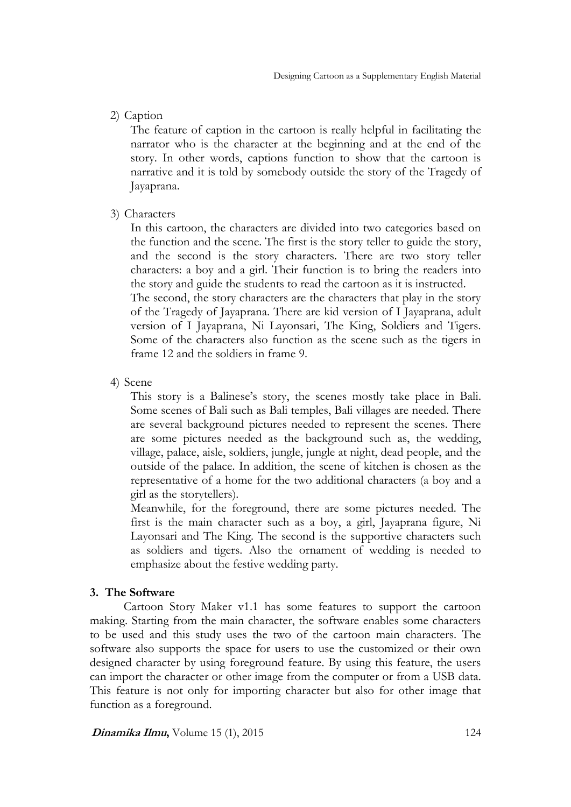2) Caption

The feature of caption in the cartoon is really helpful in facilitating the narrator who is the character at the beginning and at the end of the story. In other words, captions function to show that the cartoon is narrative and it is told by somebody outside the story of the Tragedy of Jayaprana.

3) Characters

In this cartoon, the characters are divided into two categories based on the function and the scene. The first is the story teller to guide the story, and the second is the story characters. There are two story teller characters: a boy and a girl. Their function is to bring the readers into the story and guide the students to read the cartoon as it is instructed. The second, the story characters are the characters that play in the story of the Tragedy of Jayaprana. There are kid version of I Jayaprana, adult version of I Jayaprana, Ni Layonsari, The King, Soldiers and Tigers. Some of the characters also function as the scene such as the tigers in frame 12 and the soldiers in frame 9.

4) Scene

This story is a Balinese's story, the scenes mostly take place in Bali. Some scenes of Bali such as Bali temples, Bali villages are needed. There are several background pictures needed to represent the scenes. There are some pictures needed as the background such as, the wedding, village, palace, aisle, soldiers, jungle, jungle at night, dead people, and the outside of the palace. In addition, the scene of kitchen is chosen as the representative of a home for the two additional characters (a boy and a girl as the storytellers).

Meanwhile, for the foreground, there are some pictures needed. The first is the main character such as a boy, a girl, Jayaprana figure, Ni Layonsari and The King. The second is the supportive characters such as soldiers and tigers. Also the ornament of wedding is needed to emphasize about the festive wedding party.

## **3. The Software**

Cartoon Story Maker v1.1 has some features to support the cartoon making. Starting from the main character, the software enables some characters to be used and this study uses the two of the cartoon main characters. The software also supports the space for users to use the customized or their own designed character by using foreground feature. By using this feature, the users can import the character or other image from the computer or from a USB data. This feature is not only for importing character but also for other image that function as a foreground.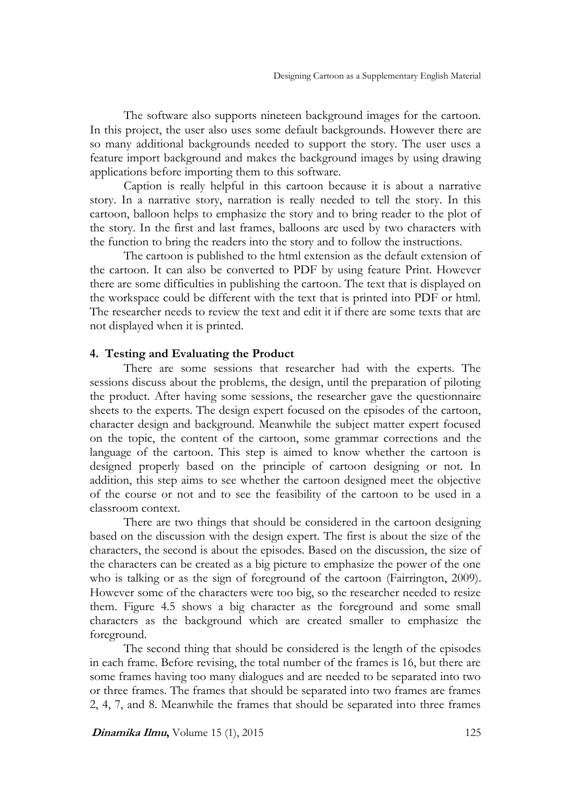The software also supports nineteen background images for the cartoon. In this project, the user also uses some default backgrounds. However there are so many additional backgrounds needed to support the story. The user uses a feature import background and makes the background images by using drawing applications before importing them to this software.

Caption is really helpful in this cartoon because it is about a narrative story. In a narrative story, narration is really needed to tell the story. In this cartoon, balloon helps to emphasize the story and to bring reader to the plot of the story. In the first and last frames, balloons are used by two characters with the function to bring the readers into the story and to follow the instructions.

The cartoon is published to the html extension as the default extension of the cartoon. It can also be converted to PDF by using feature Print. However there are some difficulties in publishing the cartoon. The text that is displayed on the workspace could be different with the text that is printed into PDF or html. The researcher needs to review the text and edit it if there are some texts that are not displayed when it is printed.

## **4. Testing and Evaluating the Product**

There are some sessions that researcher had with the experts. The sessions discuss about the problems, the design, until the preparation of piloting the product. After having some sessions, the researcher gave the questionnaire sheets to the experts. The design expert focused on the episodes of the cartoon, character design and background. Meanwhile the subject matter expert focused on the topic, the content of the cartoon, some grammar corrections and the language of the cartoon. This step is aimed to know whether the cartoon is designed properly based on the principle of cartoon designing or not. In addition, this step aims to see whether the cartoon designed meet the objective of the course or not and to see the feasibility of the cartoon to be used in a classroom context.

There are two things that should be considered in the cartoon designing based on the discussion with the design expert. The first is about the size of the characters, the second is about the episodes. Based on the discussion, the size of the characters can be created as a big picture to emphasize the power of the one who is talking or as the sign of foreground of the cartoon (Fairrington, 2009). However some of the characters were too big, so the researcher needed to resize them. Figure 4.5 shows a big character as the foreground and some small characters as the background which are created smaller to emphasize the foreground.

The second thing that should be considered is the length of the episodes in each frame. Before revising, the total number of the frames is 16, but there are some frames having too many dialogues and are needed to be separated into two or three frames. The frames that should be separated into two frames are frames 2, 4, 7, and 8. Meanwhile the frames that should be separated into three frames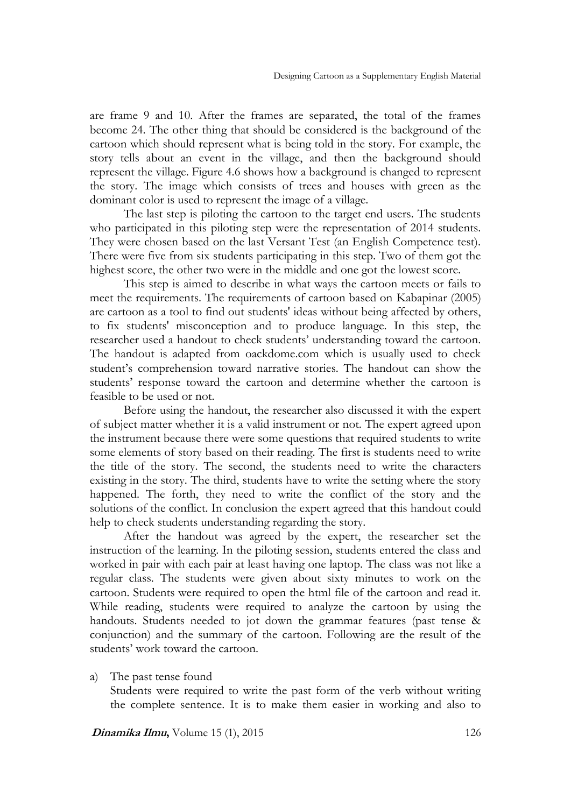are frame 9 and 10. After the frames are separated, the total of the frames become 24. The other thing that should be considered is the background of the cartoon which should represent what is being told in the story. For example, the story tells about an event in the village, and then the background should represent the village. Figure 4.6 shows how a background is changed to represent the story. The image which consists of trees and houses with green as the dominant color is used to represent the image of a village.

The last step is piloting the cartoon to the target end users. The students who participated in this piloting step were the representation of 2014 students. They were chosen based on the last Versant Test (an English Competence test). There were five from six students participating in this step. Two of them got the highest score, the other two were in the middle and one got the lowest score.

This step is aimed to describe in what ways the cartoon meets or fails to meet the requirements. The requirements of cartoon based on Kabapinar (2005) are cartoon as a tool to find out students' ideas without being affected by others, to fix students' misconception and to produce language. In this step, the researcher used a handout to check students' understanding toward the cartoon. The handout is adapted from oackdome.com which is usually used to check student's comprehension toward narrative stories. The handout can show the students' response toward the cartoon and determine whether the cartoon is feasible to be used or not.

Before using the handout, the researcher also discussed it with the expert of subject matter whether it is a valid instrument or not. The expert agreed upon the instrument because there were some questions that required students to write some elements of story based on their reading. The first is students need to write the title of the story. The second, the students need to write the characters existing in the story. The third, students have to write the setting where the story happened. The forth, they need to write the conflict of the story and the solutions of the conflict. In conclusion the expert agreed that this handout could help to check students understanding regarding the story.

After the handout was agreed by the expert, the researcher set the instruction of the learning. In the piloting session, students entered the class and worked in pair with each pair at least having one laptop. The class was not like a regular class. The students were given about sixty minutes to work on the cartoon. Students were required to open the html file of the cartoon and read it. While reading, students were required to analyze the cartoon by using the handouts. Students needed to jot down the grammar features (past tense & conjunction) and the summary of the cartoon. Following are the result of the students' work toward the cartoon.

a) The past tense found

Students were required to write the past form of the verb without writing the complete sentence. It is to make them easier in working and also to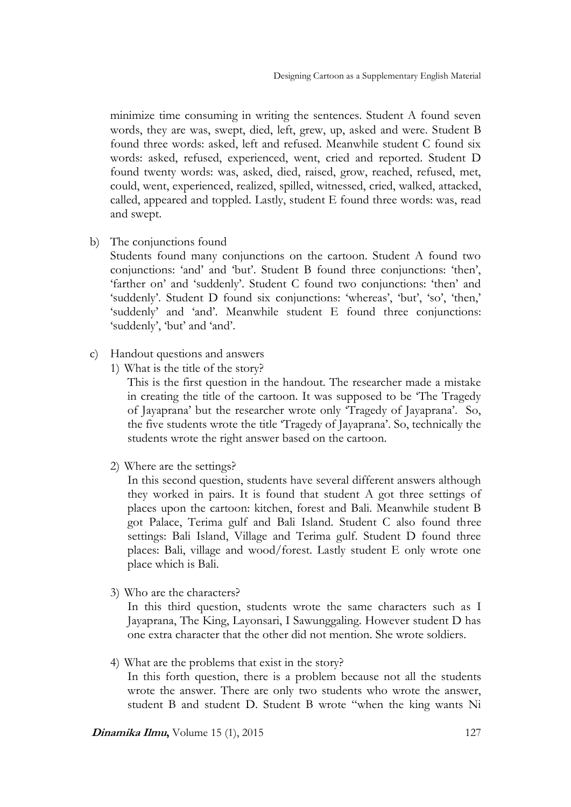minimize time consuming in writing the sentences. Student A found seven words, they are was, swept, died, left, grew, up, asked and were. Student B found three words: asked, left and refused. Meanwhile student C found six words: asked, refused, experienced, went, cried and reported. Student D found twenty words: was, asked, died, raised, grow, reached, refused, met, could, went, experienced, realized, spilled, witnessed, cried, walked, attacked, called, appeared and toppled. Lastly, student E found three words: was, read and swept.

b) The conjunctions found

Students found many conjunctions on the cartoon. Student A found two conjunctions: 'and' and 'but'. Student B found three conjunctions: 'then', 'farther on' and 'suddenly'. Student C found two conjunctions: 'then' and 'suddenly'. Student D found six conjunctions: 'whereas', 'but', 'so', 'then,' 'suddenly' and 'and'. Meanwhile student E found three conjunctions: 'suddenly', 'but' and 'and'.

- c) Handout questions and answers
	- 1) What is the title of the story?

This is the first question in the handout. The researcher made a mistake in creating the title of the cartoon. It was supposed to be 'The Tragedy of Jayaprana' but the researcher wrote only 'Tragedy of Jayaprana'. So, the five students wrote the title 'Tragedy of Jayaprana'. So, technically the students wrote the right answer based on the cartoon.

2) Where are the settings?

In this second question, students have several different answers although they worked in pairs. It is found that student A got three settings of places upon the cartoon: kitchen, forest and Bali. Meanwhile student B got Palace, Terima gulf and Bali Island. Student C also found three settings: Bali Island, Village and Terima gulf. Student D found three places: Bali, village and wood/forest. Lastly student E only wrote one place which is Bali.

3) Who are the characters?

In this third question, students wrote the same characters such as I Jayaprana, The King, Layonsari, I Sawunggaling. However student D has one extra character that the other did not mention. She wrote soldiers.

4) What are the problems that exist in the story?

In this forth question, there is a problem because not all the students wrote the answer. There are only two students who wrote the answer, student B and student D. Student B wrote "when the king wants Ni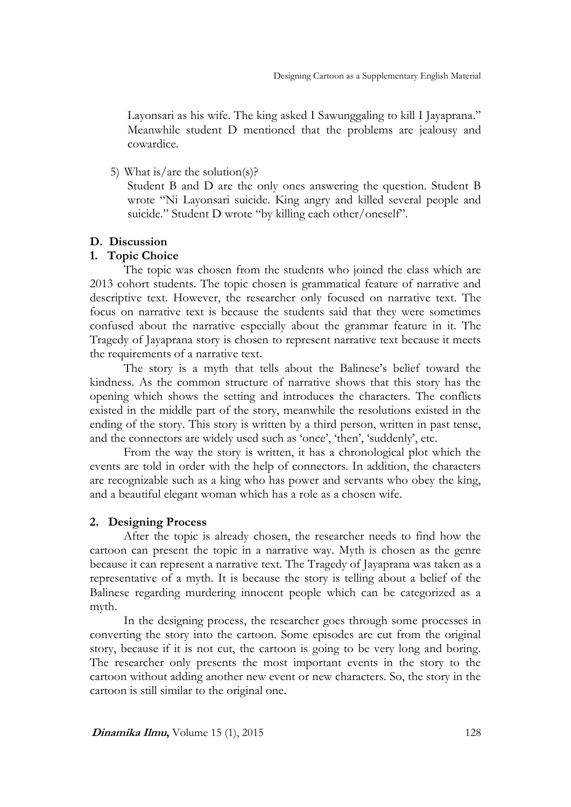Layonsari as his wife. The king asked I Sawunggaling to kill I Jayaprana." Meanwhile student D mentioned that the problems are jealousy and cowardice.

5) What is/are the solution(s)?

Student B and D are the only ones answering the question. Student B wrote "Ni Layonsari suicide. King angry and killed several people and suicide." Student D wrote "by killing each other/oneself".

## **D. Discussion**

## **1. Topic Choice**

The topic was chosen from the students who joined the class which are 2013 cohort students. The topic chosen is grammatical feature of narrative and descriptive text. However, the researcher only focused on narrative text. The focus on narrative text is because the students said that they were sometimes confused about the narrative especially about the grammar feature in it. The Tragedy of Jayaprana story is chosen to represent narrative text because it meets the requirements of a narrative text.

The story is a myth that tells about the Balinese's belief toward the kindness. As the common structure of narrative shows that this story has the opening which shows the setting and introduces the characters. The conflicts existed in the middle part of the story, meanwhile the resolutions existed in the ending of the story. This story is written by a third person, written in past tense, and the connectors are widely used such as 'once', 'then', 'suddenly', etc.

From the way the story is written, it has a chronological plot which the events are told in order with the help of connectors. In addition, the characters are recognizable such as a king who has power and servants who obey the king, and a beautiful elegant woman which has a role as a chosen wife.

## **2. Designing Process**

After the topic is already chosen, the researcher needs to find how the cartoon can present the topic in a narrative way. Myth is chosen as the genre because it can represent a narrative text. The Tragedy of Jayaprana was taken as a representative of a myth. It is because the story is telling about a belief of the Balinese regarding murdering innocent people which can be categorized as a myth.

In the designing process, the researcher goes through some processes in converting the story into the cartoon. Some episodes are cut from the original story, because if it is not cut, the cartoon is going to be very long and boring. The researcher only presents the most important events in the story to the cartoon without adding another new event or new characters. So, the story in the cartoon is still similar to the original one.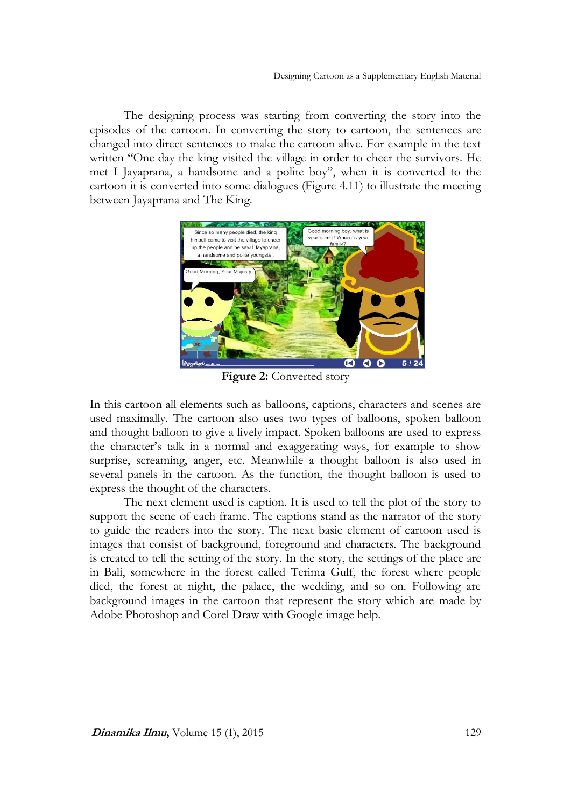The designing process was starting from converting the story into the episodes of the cartoon. In converting the story to cartoon, the sentences are changed into direct sentences to make the cartoon alive. For example in the text written "One day the king visited the village in order to cheer the survivors. He met I Jayaprana, a handsome and a polite boy", when it is converted to the cartoon it is converted into some dialogues (Figure 4.11) to illustrate the meeting between Jayaprana and The King.



**Figure 2:** Converted story

In this cartoon all elements such as balloons, captions, characters and scenes are used maximally. The cartoon also uses two types of balloons, spoken balloon and thought balloon to give a lively impact. Spoken balloons are used to express the character's talk in a normal and exaggerating ways, for example to show surprise, screaming, anger, etc. Meanwhile a thought balloon is also used in several panels in the cartoon. As the function, the thought balloon is used to express the thought of the characters.

The next element used is caption. It is used to tell the plot of the story to support the scene of each frame. The captions stand as the narrator of the story to guide the readers into the story. The next basic element of cartoon used is images that consist of background, foreground and characters. The background is created to tell the setting of the story. In the story, the settings of the place are in Bali, somewhere in the forest called Terima Gulf, the forest where people died, the forest at night, the palace, the wedding, and so on. Following are background images in the cartoon that represent the story which are made by Adobe Photoshop and Corel Draw with Google image help.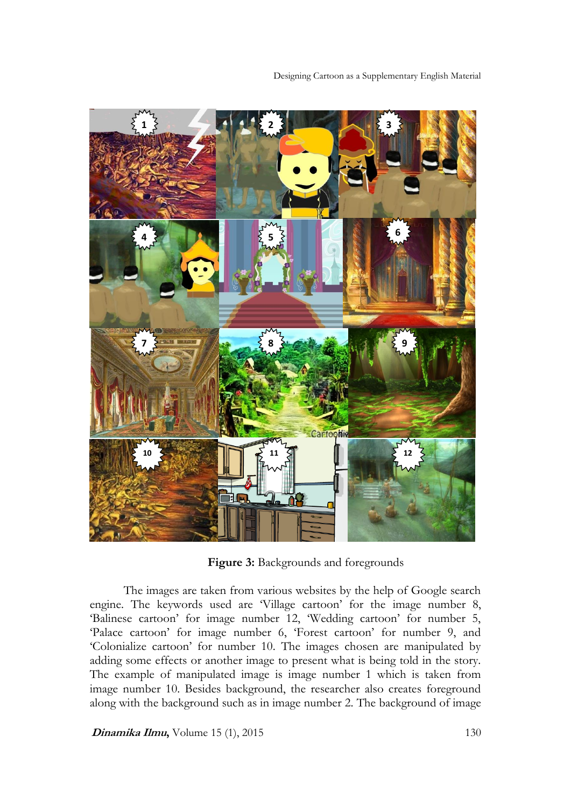

**Figure 3:** Backgrounds and foregrounds

The images are taken from various websites by the help of Google search engine. The keywords used are 'Village cartoon' for the image number 8, 'Balinese cartoon' for image number 12, 'Wedding cartoon' for number 5, 'Palace cartoon' for image number 6, 'Forest cartoon' for number 9, and 'Colonialize cartoon' for number 10. The images chosen are manipulated by adding some effects or another image to present what is being told in the story. The example of manipulated image is image number 1 which is taken from image number 10. Besides background, the researcher also creates foreground along with the background such as in image number 2. The background of image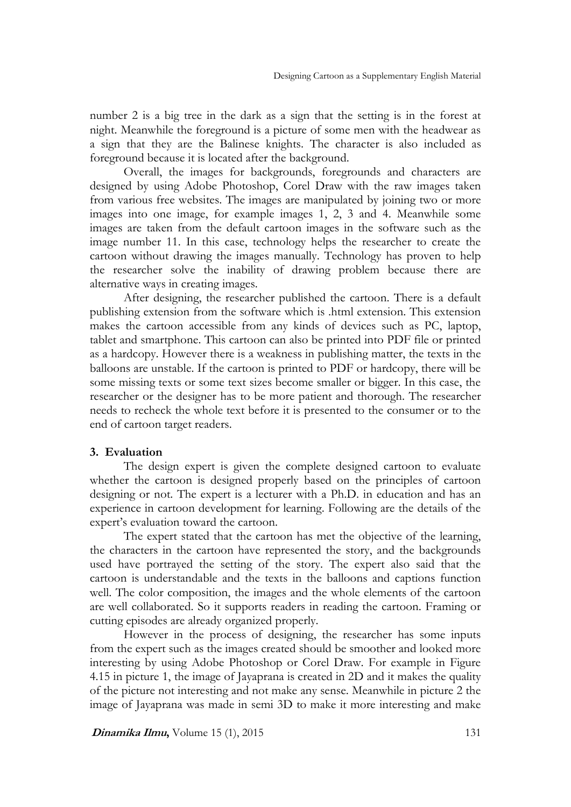number 2 is a big tree in the dark as a sign that the setting is in the forest at night. Meanwhile the foreground is a picture of some men with the headwear as a sign that they are the Balinese knights. The character is also included as foreground because it is located after the background.

Overall, the images for backgrounds, foregrounds and characters are designed by using Adobe Photoshop, Corel Draw with the raw images taken from various free websites. The images are manipulated by joining two or more images into one image, for example images 1, 2, 3 and 4. Meanwhile some images are taken from the default cartoon images in the software such as the image number 11. In this case, technology helps the researcher to create the cartoon without drawing the images manually. Technology has proven to help the researcher solve the inability of drawing problem because there are alternative ways in creating images.

After designing, the researcher published the cartoon. There is a default publishing extension from the software which is .html extension. This extension makes the cartoon accessible from any kinds of devices such as PC, laptop, tablet and smartphone. This cartoon can also be printed into PDF file or printed as a hardcopy. However there is a weakness in publishing matter, the texts in the balloons are unstable. If the cartoon is printed to PDF or hardcopy, there will be some missing texts or some text sizes become smaller or bigger. In this case, the researcher or the designer has to be more patient and thorough. The researcher needs to recheck the whole text before it is presented to the consumer or to the end of cartoon target readers.

## **3. Evaluation**

The design expert is given the complete designed cartoon to evaluate whether the cartoon is designed properly based on the principles of cartoon designing or not. The expert is a lecturer with a Ph.D. in education and has an experience in cartoon development for learning. Following are the details of the expert's evaluation toward the cartoon.

The expert stated that the cartoon has met the objective of the learning, the characters in the cartoon have represented the story, and the backgrounds used have portrayed the setting of the story. The expert also said that the cartoon is understandable and the texts in the balloons and captions function well. The color composition, the images and the whole elements of the cartoon are well collaborated. So it supports readers in reading the cartoon. Framing or cutting episodes are already organized properly.

However in the process of designing, the researcher has some inputs from the expert such as the images created should be smoother and looked more interesting by using Adobe Photoshop or Corel Draw. For example in Figure 4.15 in picture 1, the image of Jayaprana is created in 2D and it makes the quality of the picture not interesting and not make any sense. Meanwhile in picture 2 the image of Jayaprana was made in semi 3D to make it more interesting and make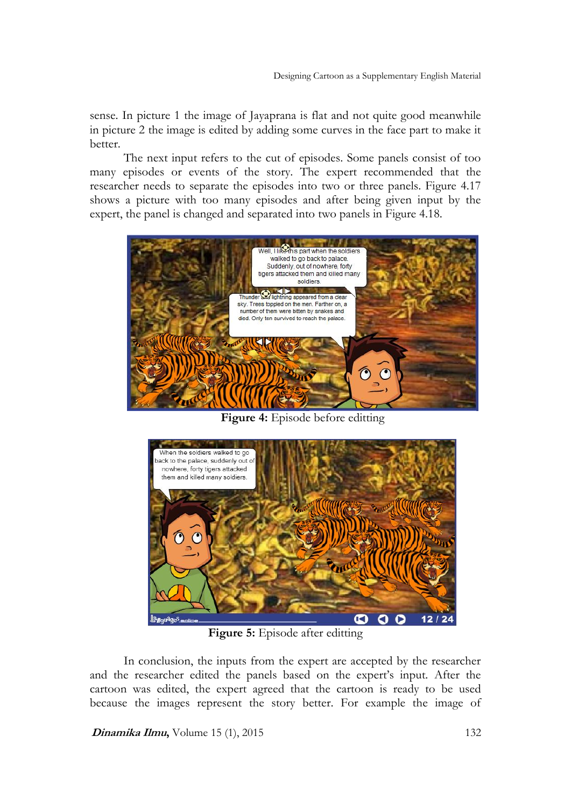sense. In picture 1 the image of Jayaprana is flat and not quite good meanwhile in picture 2 the image is edited by adding some curves in the face part to make it better.

The next input refers to the cut of episodes. Some panels consist of too many episodes or events of the story. The expert recommended that the researcher needs to separate the episodes into two or three panels. Figure 4.17 shows a picture with too many episodes and after being given input by the expert, the panel is changed and separated into two panels in Figure 4.18.



**Figure 4:** Episode before editting



**Figure 5:** Episode after editting

In conclusion, the inputs from the expert are accepted by the researcher and the researcher edited the panels based on the expert's input. After the cartoon was edited, the expert agreed that the cartoon is ready to be used because the images represent the story better. For example the image of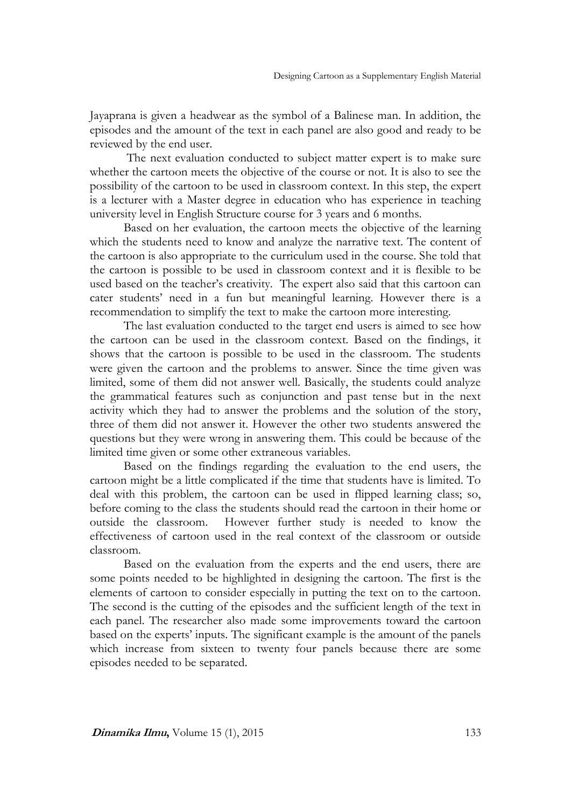Jayaprana is given a headwear as the symbol of a Balinese man. In addition, the episodes and the amount of the text in each panel are also good and ready to be reviewed by the end user.

The next evaluation conducted to subject matter expert is to make sure whether the cartoon meets the objective of the course or not. It is also to see the possibility of the cartoon to be used in classroom context. In this step, the expert is a lecturer with a Master degree in education who has experience in teaching university level in English Structure course for 3 years and 6 months.

Based on her evaluation, the cartoon meets the objective of the learning which the students need to know and analyze the narrative text. The content of the cartoon is also appropriate to the curriculum used in the course. She told that the cartoon is possible to be used in classroom context and it is flexible to be used based on the teacher's creativity. The expert also said that this cartoon can cater students' need in a fun but meaningful learning. However there is a recommendation to simplify the text to make the cartoon more interesting.

The last evaluation conducted to the target end users is aimed to see how the cartoon can be used in the classroom context. Based on the findings, it shows that the cartoon is possible to be used in the classroom. The students were given the cartoon and the problems to answer. Since the time given was limited, some of them did not answer well. Basically, the students could analyze the grammatical features such as conjunction and past tense but in the next activity which they had to answer the problems and the solution of the story, three of them did not answer it. However the other two students answered the questions but they were wrong in answering them. This could be because of the limited time given or some other extraneous variables.

Based on the findings regarding the evaluation to the end users, the cartoon might be a little complicated if the time that students have is limited. To deal with this problem, the cartoon can be used in flipped learning class; so, before coming to the class the students should read the cartoon in their home or outside the classroom. However further study is needed to know the effectiveness of cartoon used in the real context of the classroom or outside classroom.

Based on the evaluation from the experts and the end users, there are some points needed to be highlighted in designing the cartoon. The first is the elements of cartoon to consider especially in putting the text on to the cartoon. The second is the cutting of the episodes and the sufficient length of the text in each panel. The researcher also made some improvements toward the cartoon based on the experts' inputs. The significant example is the amount of the panels which increase from sixteen to twenty four panels because there are some episodes needed to be separated.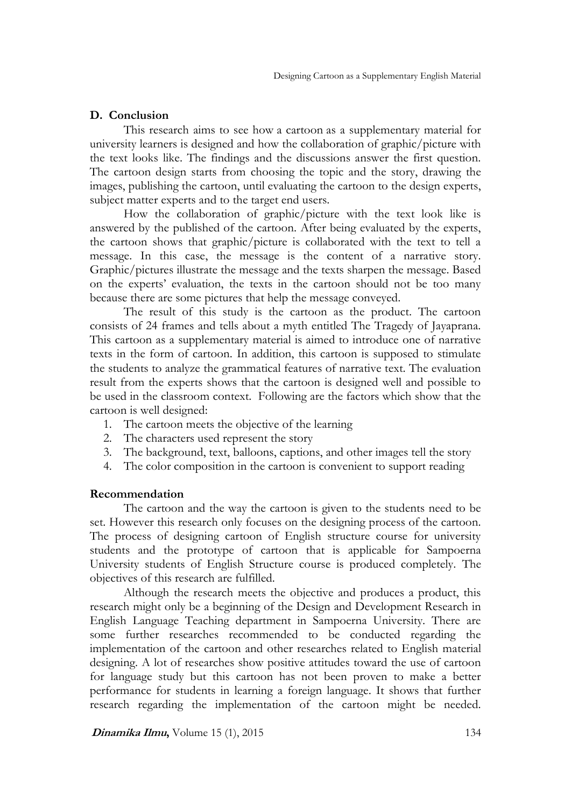## **D. Conclusion**

This research aims to see how a cartoon as a supplementary material for university learners is designed and how the collaboration of graphic/picture with the text looks like. The findings and the discussions answer the first question. The cartoon design starts from choosing the topic and the story, drawing the images, publishing the cartoon, until evaluating the cartoon to the design experts, subject matter experts and to the target end users.

How the collaboration of graphic/picture with the text look like is answered by the published of the cartoon. After being evaluated by the experts, the cartoon shows that graphic/picture is collaborated with the text to tell a message. In this case, the message is the content of a narrative story. Graphic/pictures illustrate the message and the texts sharpen the message. Based on the experts' evaluation, the texts in the cartoon should not be too many because there are some pictures that help the message conveyed.

The result of this study is the cartoon as the product. The cartoon consists of 24 frames and tells about a myth entitled The Tragedy of Jayaprana. This cartoon as a supplementary material is aimed to introduce one of narrative texts in the form of cartoon. In addition, this cartoon is supposed to stimulate the students to analyze the grammatical features of narrative text. The evaluation result from the experts shows that the cartoon is designed well and possible to be used in the classroom context. Following are the factors which show that the cartoon is well designed:

- 1. The cartoon meets the objective of the learning
- 2. The characters used represent the story
- 3. The background, text, balloons, captions, and other images tell the story
- 4. The color composition in the cartoon is convenient to support reading

## **Recommendation**

The cartoon and the way the cartoon is given to the students need to be set. However this research only focuses on the designing process of the cartoon. The process of designing cartoon of English structure course for university students and the prototype of cartoon that is applicable for Sampoerna University students of English Structure course is produced completely. The objectives of this research are fulfilled.

Although the research meets the objective and produces a product, this research might only be a beginning of the Design and Development Research in English Language Teaching department in Sampoerna University. There are some further researches recommended to be conducted regarding the implementation of the cartoon and other researches related to English material designing. A lot of researches show positive attitudes toward the use of cartoon for language study but this cartoon has not been proven to make a better performance for students in learning a foreign language. It shows that further research regarding the implementation of the cartoon might be needed.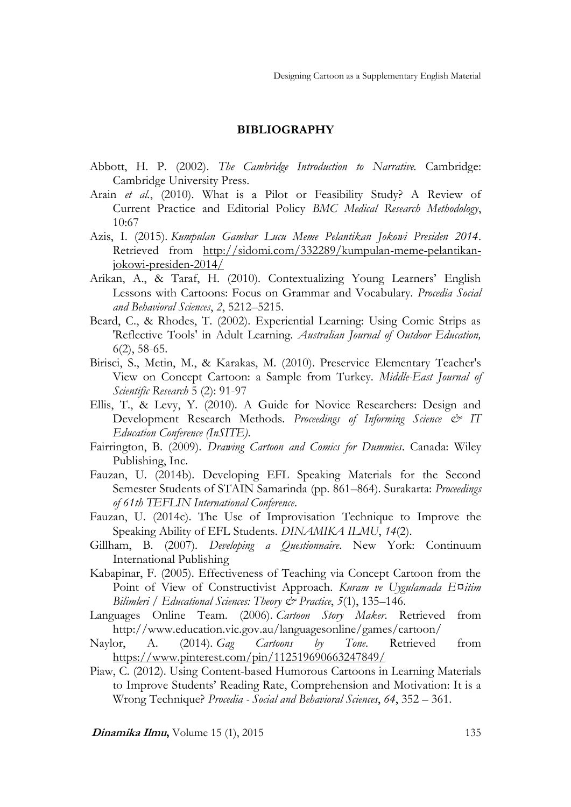#### **BIBLIOGRAPHY**

- Abbott, H. P. (2002). *The Cambridge Introduction to Narrative.* Cambridge: Cambridge University Press.
- Arain *et al.*, (2010). What is a Pilot or Feasibility Study? A Review of Current Practice and Editorial Policy *BMC Medical Research Methodology*, 10:67
- Azis, I. (2015). *Kumpulan Gambar Lucu Meme Pelantikan Jokowi Presiden 2014*. Retrieved from [http://sidomi.com/332289/kumpulan-meme-pelantikan](http://sidomi.com/332289/kumpulan-meme-pelantikan-jokowi-presiden-2014/)[jokowi-presiden-2014/](http://sidomi.com/332289/kumpulan-meme-pelantikan-jokowi-presiden-2014/)
- Arikan, A., & Taraf, H. (2010). Contextualizing Young Learners' English Lessons with Cartoons: Focus on Grammar and Vocabulary. *Procedia Social and Behavioral Sciences*, *2*, 5212–5215.
- Beard, C., & Rhodes, T. (2002). Experiential Learning: Using Comic Strips as 'Reflective Tools' in Adult Learning. *Australian Journal of Outdoor Education,* 6(2), 58-65.
- Birisci, S., Metin, M., & Karakas, M. (2010). Preservice Elementary Teacher's View on Concept Cartoon: a Sample from Turkey. *Middle-East Journal of Scientific Research* 5 (2): 91-97
- Ellis, T., & Levy, Y. (2010). A Guide for Novice Researchers: Design and Development Research Methods. *Proceedings of Informing Science & IT Education Conference (InSITE)*.
- Fairrington, B. (2009). *Drawing Cartoon and Comics for Dummies*. Canada: Wiley Publishing, Inc.
- Fauzan, U. (2014b). Developing EFL Speaking Materials for the Second Semester Students of STAIN Samarinda (pp. 861–864). Surakarta: *Proceedings of 61th TEFLIN International Conference*.
- Fauzan, U. (2014c). The Use of Improvisation Technique to Improve the Speaking Ability of EFL Students. *DINAMIKA ILMU*, *14*(2).
- Gillham, B. (2007). *Developing a Questionnaire*. New York: Continuum International Publishing
- Kabapinar, F. (2005). Effectiveness of Teaching via Concept Cartoon from the Point of View of Constructivist Approach. *Kuram ve Uygulamada E¤itim Bilimleri / Educational Sciences: Theory & Practice*, *5*(1), 135–146.
- Languages Online Team. (2006). *Cartoon Story Maker*. Retrieved from http://www.education.vic.gov.au/languagesonline/games/cartoon/
- Naylor, A. (2014). *Gag Cartoons by Tone*. Retrieved from <https://www.pinterest.com/pin/112519690663247849/>
- Piaw, C. (2012). Using Content-based Humorous Cartoons in Learning Materials to Improve Students' Reading Rate, Comprehension and Motivation: It is a Wrong Technique? *Procedia - Social and Behavioral Sciences*, *64*, 352 – 361.